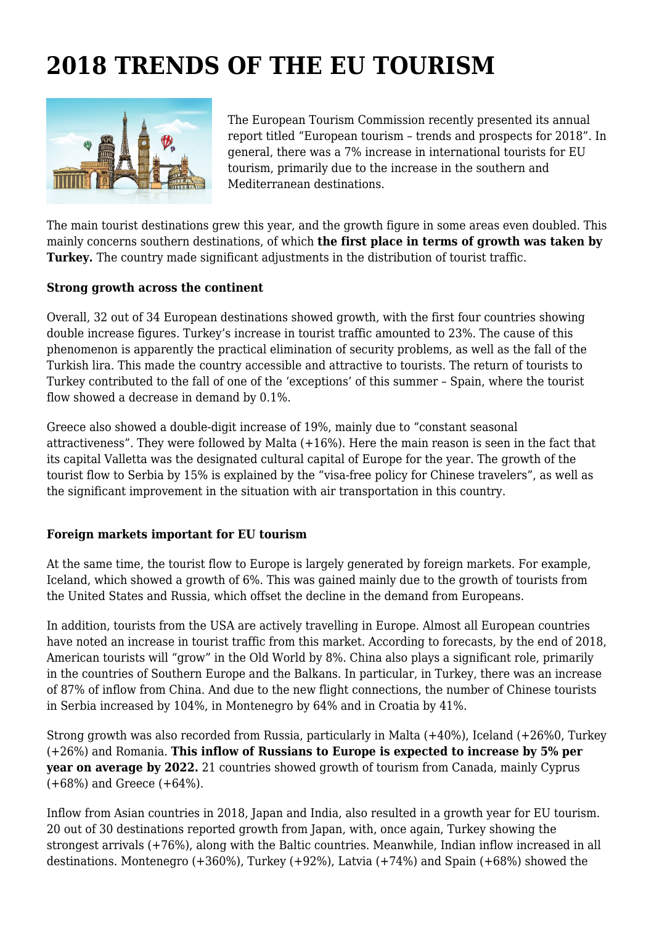## **2018 TRENDS OF THE EU TOURISM**



The European Tourism Commission recently presented its annual report titled "European tourism – trends and prospects for 2018". In general, there was a 7% increase in international tourists for EU tourism, primarily due to the increase in the southern and Mediterranean destinations.

The main tourist destinations grew this year, and the growth figure in some areas even doubled. This mainly concerns southern destinations, of which **the first place in terms of growth was taken by Turkey.** The country made significant adjustments in the distribution of tourist traffic.

## **Strong growth across the continent**

Overall, 32 out of 34 European destinations showed growth, with the first four countries showing double increase figures. Turkey's increase in tourist traffic amounted to 23%. The cause of this phenomenon is apparently the practical elimination of security problems, as well as the fall of the Turkish lira. This made the country accessible and attractive to tourists. The return of tourists to Turkey contributed to the fall of one of the 'exceptions' of this summer – Spain, where the tourist flow showed a decrease in demand by 0.1%.

Greece also showed a double-digit increase of 19%, mainly due to "constant seasonal attractiveness". They were followed by Malta (+16%). Here the main reason is seen in the fact that its capital Valletta was the designated cultural capital of Europe for the year. The growth of the tourist flow to Serbia by 15% is explained by the "visa-free policy for Chinese travelers", as well as the significant improvement in the situation with air transportation in this country.

## **Foreign markets important for EU tourism**

At the same time, the tourist flow to Europe is largely generated by foreign markets. For example, Iceland, which showed a growth of 6%. This was gained mainly due to the growth of tourists from the United States and Russia, which offset the decline in the demand from Europeans.

In addition, tourists from the USA are actively travelling in Europe. Almost all European countries have noted an increase in tourist traffic from this market. According to forecasts, by the end of 2018, American tourists will "grow" in the Old World by 8%. China also plays a significant role, primarily in the countries of Southern Europe and the Balkans. In particular, in Turkey, there was an increase of 87% of inflow from China. And due to the new flight connections, the number of Chinese tourists in Serbia increased by 104%, in Montenegro by 64% and in Croatia by 41%.

Strong growth was also recorded from Russia, particularly in Malta (+40%), Iceland (+26%0, Turkey (+26%) and Romania. **This inflow of Russians to Europe is expected to increase by 5% per year on average by 2022.** 21 countries showed growth of tourism from Canada, mainly Cyprus (+68%) and Greece (+64%).

Inflow from Asian countries in 2018, Japan and India, also resulted in a growth year for EU tourism. 20 out of 30 destinations reported growth from Japan, with, once again, Turkey showing the strongest arrivals (+76%), along with the Baltic countries. Meanwhile, Indian inflow increased in all destinations. Montenegro (+360%), Turkey (+92%), Latvia (+74%) and Spain (+68%) showed the